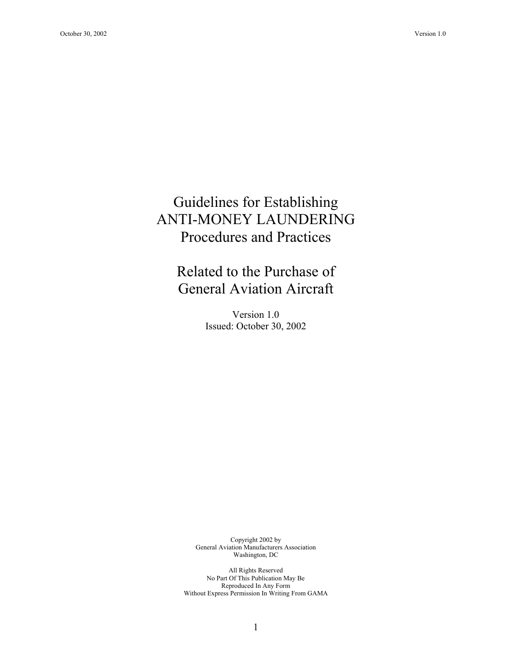# Guidelines for Establishing ANTI-MONEY LAUNDERING Procedures and Practices

# Related to the Purchase of General Aviation Aircraft

Version 1.0 Issued: October 30, 2002

Copyright 2002 by General Aviation Manufacturers Association Washington, DC

All Rights Reserved No Part Of This Publication May Be Reproduced In Any Form Without Express Permission In Writing From GAMA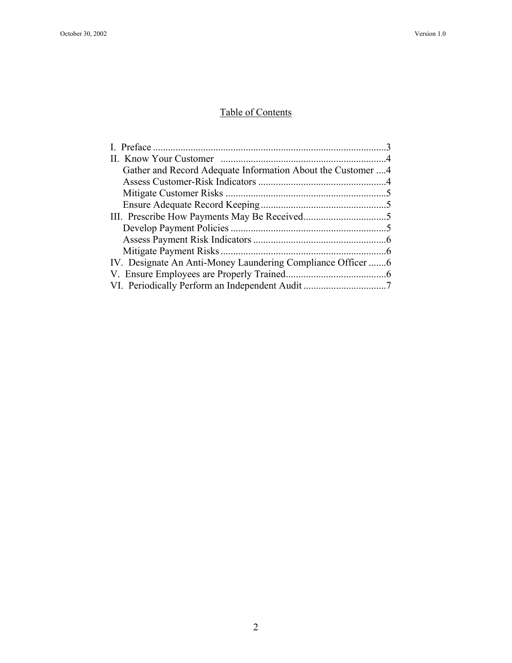## Table of Contents

| Gather and Record Adequate Information About the Customer 4 |  |
|-------------------------------------------------------------|--|
|                                                             |  |
|                                                             |  |
|                                                             |  |
|                                                             |  |
|                                                             |  |
|                                                             |  |
|                                                             |  |
|                                                             |  |
|                                                             |  |
|                                                             |  |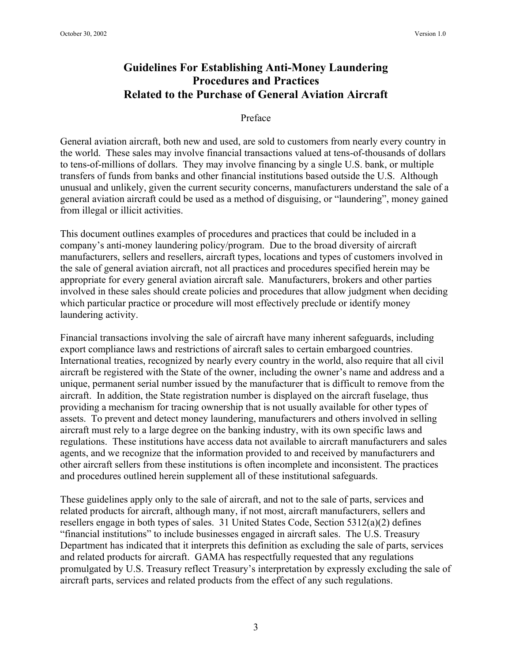### **Guidelines For Establishing Anti-Money Laundering Procedures and Practices Related to the Purchase of General Aviation Aircraft**

#### Preface

General aviation aircraft, both new and used, are sold to customers from nearly every country in the world. These sales may involve financial transactions valued at tens-of-thousands of dollars to tens-of-millions of dollars. They may involve financing by a single U.S. bank, or multiple transfers of funds from banks and other financial institutions based outside the U.S. Although unusual and unlikely, given the current security concerns, manufacturers understand the sale of a general aviation aircraft could be used as a method of disguising, or "laundering", money gained from illegal or illicit activities.

This document outlines examples of procedures and practices that could be included in a company's anti-money laundering policy/program. Due to the broad diversity of aircraft manufacturers, sellers and resellers, aircraft types, locations and types of customers involved in the sale of general aviation aircraft, not all practices and procedures specified herein may be appropriate for every general aviation aircraft sale. Manufacturers, brokers and other parties involved in these sales should create policies and procedures that allow judgment when deciding which particular practice or procedure will most effectively preclude or identify money laundering activity.

Financial transactions involving the sale of aircraft have many inherent safeguards, including export compliance laws and restrictions of aircraft sales to certain embargoed countries. International treaties, recognized by nearly every country in the world, also require that all civil aircraft be registered with the State of the owner, including the owner's name and address and a unique, permanent serial number issued by the manufacturer that is difficult to remove from the aircraft. In addition, the State registration number is displayed on the aircraft fuselage, thus providing a mechanism for tracing ownership that is not usually available for other types of assets. To prevent and detect money laundering, manufacturers and others involved in selling aircraft must rely to a large degree on the banking industry, with its own specific laws and regulations. These institutions have access data not available to aircraft manufacturers and sales agents, and we recognize that the information provided to and received by manufacturers and other aircraft sellers from these institutions is often incomplete and inconsistent. The practices and procedures outlined herein supplement all of these institutional safeguards.

These guidelines apply only to the sale of aircraft, and not to the sale of parts, services and related products for aircraft, although many, if not most, aircraft manufacturers, sellers and resellers engage in both types of sales. 31 United States Code, Section 5312(a)(2) defines "financial institutions" to include businesses engaged in aircraft sales. The U.S. Treasury Department has indicated that it interprets this definition as excluding the sale of parts, services and related products for aircraft. GAMA has respectfully requested that any regulations promulgated by U.S. Treasury reflect Treasury's interpretation by expressly excluding the sale of aircraft parts, services and related products from the effect of any such regulations.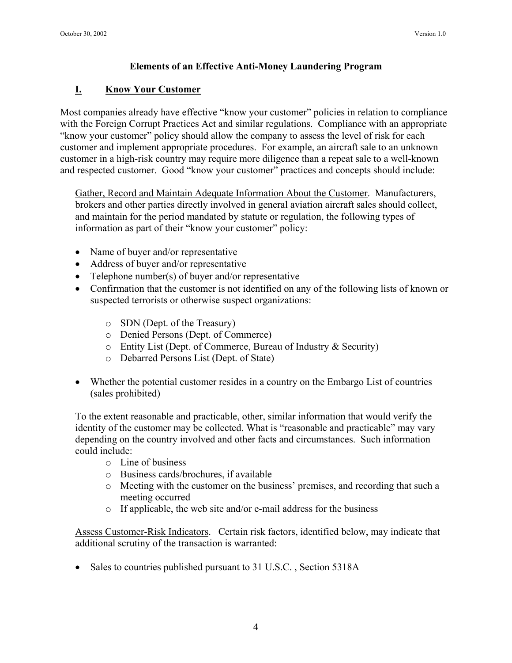#### **Elements of an Effective Anti-Money Laundering Program**

#### **I. Know Your Customer**

Most companies already have effective "know your customer" policies in relation to compliance with the Foreign Corrupt Practices Act and similar regulations. Compliance with an appropriate "know your customer" policy should allow the company to assess the level of risk for each customer and implement appropriate procedures. For example, an aircraft sale to an unknown customer in a high-risk country may require more diligence than a repeat sale to a well-known and respected customer. Good "know your customer" practices and concepts should include:

Gather, Record and Maintain Adequate Information About the Customer. Manufacturers, brokers and other parties directly involved in general aviation aircraft sales should collect, and maintain for the period mandated by statute or regulation, the following types of information as part of their "know your customer" policy:

- Name of buyer and/or representative
- Address of buyer and/or representative
- Telephone number(s) of buyer and/or representative
- Confirmation that the customer is not identified on any of the following lists of known or suspected terrorists or otherwise suspect organizations:
	- o SDN (Dept. of the Treasury)
	- o Denied Persons (Dept. of Commerce)
	- o Entity List (Dept. of Commerce, Bureau of Industry & Security)
	- o Debarred Persons List (Dept. of State)
- Whether the potential customer resides in a country on the Embargo List of countries (sales prohibited)

To the extent reasonable and practicable, other, similar information that would verify the identity of the customer may be collected. What is "reasonable and practicable" may vary depending on the country involved and other facts and circumstances. Such information could include:

- o Line of business
- o Business cards/brochures, if available
- o Meeting with the customer on the business' premises, and recording that such a meeting occurred
- o If applicable, the web site and/or e-mail address for the business

Assess Customer-Risk Indicators. Certain risk factors, identified below, may indicate that additional scrutiny of the transaction is warranted:

• Sales to countries published pursuant to 31 U.S.C., Section 5318A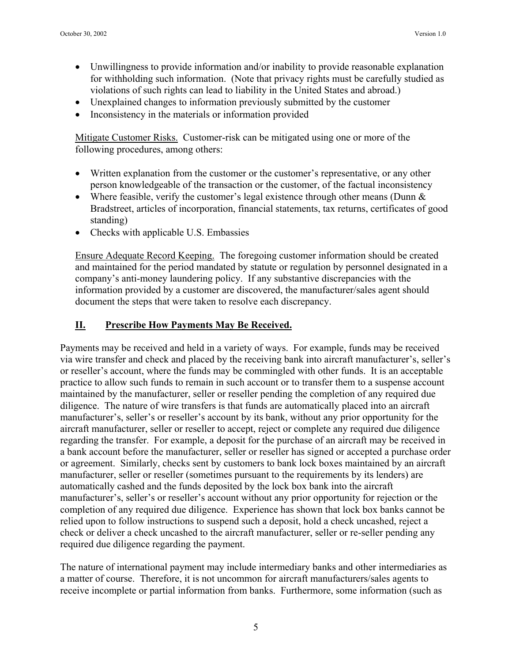- Unwillingness to provide information and/or inability to provide reasonable explanation for withholding such information. (Note that privacy rights must be carefully studied as violations of such rights can lead to liability in the United States and abroad.)
- Unexplained changes to information previously submitted by the customer
- Inconsistency in the materials or information provided

Mitigate Customer Risks. Customer-risk can be mitigated using one or more of the following procedures, among others:

- Written explanation from the customer or the customer's representative, or any other person knowledgeable of the transaction or the customer, of the factual inconsistency
- Where feasible, verify the customer's legal existence through other means (Dunn  $&$ Bradstreet, articles of incorporation, financial statements, tax returns, certificates of good standing)
- Checks with applicable U.S. Embassies

Ensure Adequate Record Keeping. The foregoing customer information should be created and maintained for the period mandated by statute or regulation by personnel designated in a company's anti-money laundering policy. If any substantive discrepancies with the information provided by a customer are discovered, the manufacturer/sales agent should document the steps that were taken to resolve each discrepancy.

#### **II. Prescribe How Payments May Be Received.**

Payments may be received and held in a variety of ways. For example, funds may be received via wire transfer and check and placed by the receiving bank into aircraft manufacturer's, seller's or reseller's account, where the funds may be commingled with other funds. It is an acceptable practice to allow such funds to remain in such account or to transfer them to a suspense account maintained by the manufacturer, seller or reseller pending the completion of any required due diligence. The nature of wire transfers is that funds are automatically placed into an aircraft manufacturer's, seller's or reseller's account by its bank, without any prior opportunity for the aircraft manufacturer, seller or reseller to accept, reject or complete any required due diligence regarding the transfer. For example, a deposit for the purchase of an aircraft may be received in a bank account before the manufacturer, seller or reseller has signed or accepted a purchase order or agreement. Similarly, checks sent by customers to bank lock boxes maintained by an aircraft manufacturer, seller or reseller (sometimes pursuant to the requirements by its lenders) are automatically cashed and the funds deposited by the lock box bank into the aircraft manufacturer's, seller's or reseller's account without any prior opportunity for rejection or the completion of any required due diligence. Experience has shown that lock box banks cannot be relied upon to follow instructions to suspend such a deposit, hold a check uncashed, reject a check or deliver a check uncashed to the aircraft manufacturer, seller or re-seller pending any required due diligence regarding the payment.

The nature of international payment may include intermediary banks and other intermediaries as a matter of course. Therefore, it is not uncommon for aircraft manufacturers/sales agents to receive incomplete or partial information from banks. Furthermore, some information (such as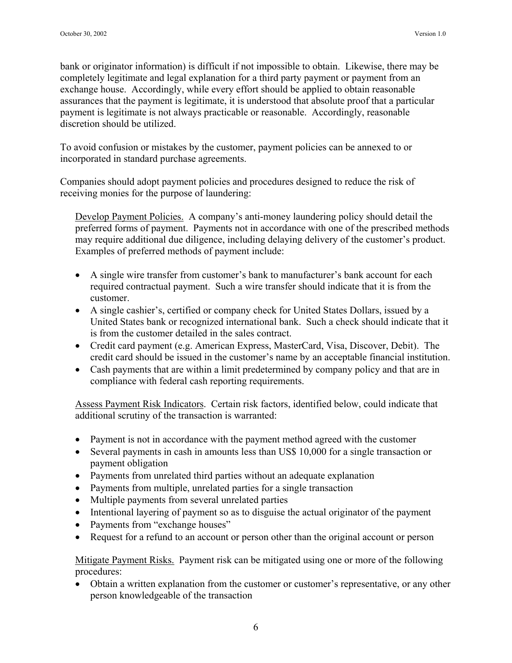bank or originator information) is difficult if not impossible to obtain. Likewise, there may be completely legitimate and legal explanation for a third party payment or payment from an exchange house. Accordingly, while every effort should be applied to obtain reasonable assurances that the payment is legitimate, it is understood that absolute proof that a particular payment is legitimate is not always practicable or reasonable. Accordingly, reasonable discretion should be utilized.

To avoid confusion or mistakes by the customer, payment policies can be annexed to or incorporated in standard purchase agreements.

Companies should adopt payment policies and procedures designed to reduce the risk of receiving monies for the purpose of laundering:

Develop Payment Policies. A company's anti-money laundering policy should detail the preferred forms of payment. Payments not in accordance with one of the prescribed methods may require additional due diligence, including delaying delivery of the customer's product. Examples of preferred methods of payment include:

- A single wire transfer from customer's bank to manufacturer's bank account for each required contractual payment. Such a wire transfer should indicate that it is from the customer.
- A single cashier's, certified or company check for United States Dollars, issued by a United States bank or recognized international bank. Such a check should indicate that it is from the customer detailed in the sales contract.
- Credit card payment (e.g. American Express, MasterCard, Visa, Discover, Debit). The credit card should be issued in the customer's name by an acceptable financial institution.
- Cash payments that are within a limit predetermined by company policy and that are in compliance with federal cash reporting requirements.

Assess Payment Risk Indicators. Certain risk factors, identified below, could indicate that additional scrutiny of the transaction is warranted:

- Payment is not in accordance with the payment method agreed with the customer
- Several payments in cash in amounts less than US\$ 10,000 for a single transaction or payment obligation
- Payments from unrelated third parties without an adequate explanation
- Payments from multiple, unrelated parties for a single transaction
- Multiple payments from several unrelated parties
- Intentional layering of payment so as to disguise the actual originator of the payment
- Payments from "exchange houses"
- Request for a refund to an account or person other than the original account or person

Mitigate Payment Risks. Payment risk can be mitigated using one or more of the following procedures:

• Obtain a written explanation from the customer or customer's representative, or any other person knowledgeable of the transaction